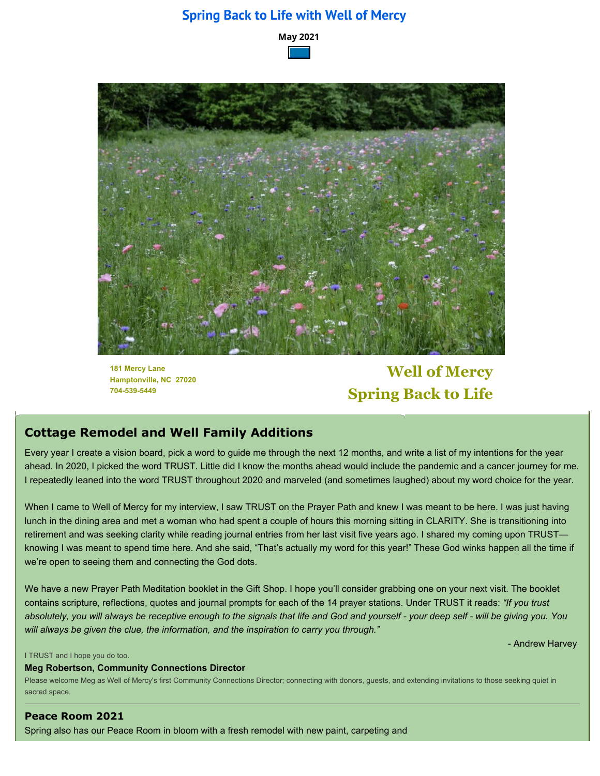### **Spring Back to Life with Well of Mercy**





**181 Mercy Lane Hamptonville, NC 27020 704-539-5449**

# **Well of Mercy Spring Back to Life**

### **Cottage Remodel and Well Family Additions**

Every year I create a vision board, pick a word to guide me through the next 12 months, and write a list of my intentions for the year ahead. In 2020, I picked the word TRUST. Little did I know the months ahead would include the pandemic and a cancer journey for me. I repeatedly leaned into the word TRUST throughout 2020 and marveled (and sometimes laughed) about my word choice for the year.

When I came to Well of Mercy for my interview, I saw TRUST on the Prayer Path and knew I was meant to be here. I was just having lunch in the dining area and met a woman who had spent a couple of hours this morning sitting in CLARITY. She is transitioning into retirement and was seeking clarity while reading journal entries from her last visit five years ago. I shared my coming upon TRUST knowing I was meant to spend time here. And she said, "That's actually my word for this year!" These God winks happen all the time if we're open to seeing them and connecting the God dots.

We have a new Prayer Path Meditation booklet in the Gift Shop. I hope you'll consider grabbing one on your next visit. The booklet contains scripture, reflections, quotes and journal prompts for each of the 14 prayer stations. Under TRUST it reads: *"If you trust absolutely, you will always be receptive enough to the signals that life and God and yourself - your deep self - will be giving you. You will always be given the clue, the information, and the inspiration to carry you through."*

- Andrew Harvey

#### I TRUST and I hope you do too.

**Meg Robertson, Community Connections Director**

Please welcome Meg as Well of Mercy's first Community Connections Director; connecting with donors, guests, and extending invitations to those seeking quiet in sacred space.

**Peace Room 2021** Spring also has our Peace Room in bloom with a fresh remodel with new paint, carpeting and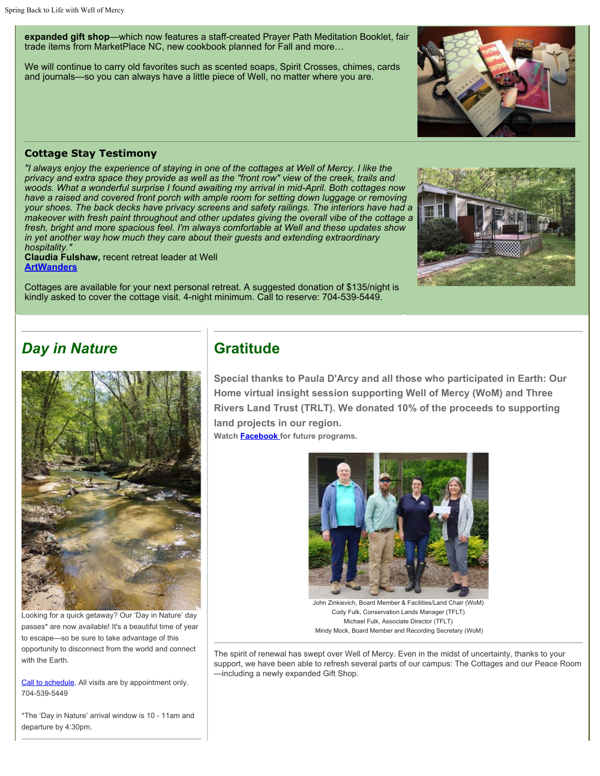**expanded gift shop**—which now features a staff-created Prayer Path Meditation Booklet, fair trade items from MarketPlace NC, new cookbook planned for Fall and more…

We will continue to carry old favorites such as scented soaps, Spirit Crosses, chimes, cards and journals—so you can always have a little piece of Well, no matter where you are.

#### **Cottage Stay Testimony**

*"I always enjoy the experience of staying in one of the cottages at Well of Mercy. I like the privacy and extra space they provide as well as the "front row" view of the creek, trails and woods. What a wonderful surprise I found awaiting my arrival in mid-April. Both cottages now have a raised and covered front porch with ample room for setting down luggage or removing your shoes. The back decks have privacy screens and safety railings. The interiors have had a makeover with fresh paint throughout and other updates giving the overall vibe of the cottage a fresh, bright and more spacious feel. I'm always comfortable at Well and these updates show in yet another way how much they care about their guests and extending extraordinary hospitality."*

**Claudia Fulshaw,** recent retreat leader at Well **[ArtWanders](https://artwanders.com/)**

Cottages are available for your next personal retreat. A suggested donation of \$135/night is kindly asked to cover the cottage visit. 4-night minimum. Call to reserve: 704-539-5449.

### *Day in Nature*



Looking for a quick getaway? Our 'Day in Nature' day passes\* are now available! It's a beautiful time of year to escape—so be sure to take advantage of this opportunity to disconnect from the world and connect with the Earth.

[Call to schedule.](https://www.wellofmercy.org/contact.html) All visits are by appointment only. 704-539-5449

\*The 'Day in Nature' arrival window is 10 - 11am and departure by 4:30pm.

## **Gratitude**

**Special thanks to Paula D'Arcy and all those who participated in Earth: Our Home virtual insight session supporting Well of Mercy (WoM) and Three Rivers Land Trust (TRLT). We donated 10% of the proceeds to supporting land projects in our region.**

**Watch [Facebook](https://www.facebook.com/Well-of-Mercy-130256423691167) for future programs.**



John Zinkievich, Board Member & Facilities/Land Chair (WoM) Cody Fulk, Conservation Lands Manager (TFLT) Michael Fulk, Associate Director (TFLT) Mindy Mock, Board Member and Recording Secretary (WoM)

The spirit of renewal has swept over Well of Mercy. Even in the midst of uncertainty, thanks to your support, we have been able to refresh several parts of our campus: The Cottages and our Peace Room —including a newly expanded Gift Shop.